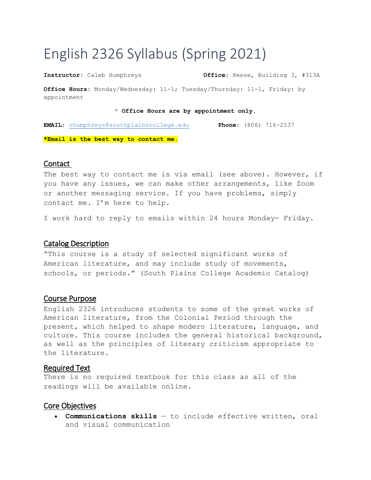# English 2326 Syllabus (Spring 2021)

**Instructor:** Caleb Humphreys **Office:** Reese, Building 3, #313A

**Office Hours:** Monday/Wednesday: 11-1; Tuesday/Thursday: 11-1, Friday: by appointment

\* **Office Hours are by appointment only.**

**EMAIL**: [chumphreys@southplainscollege.edu](mailto:chumphreys@southplainscollege.edu) **Phone:** (806) 716-2537

**\*Email is the best way to contact me.**

#### **Contact**

The best way to contact me is via email (see above). However, if you have any issues, we can make other arrangements, like Zoom or another messaging service. If you have problems, simply contact me. I'm here to help.

I work hard to reply to emails within 24 hours Monday- Friday.

## Catalog Description

"This course is a study of selected significant works of American literature, and may include study of movements, schools, or periods." (South Plains College Academic Catalog)

#### Course Purpose

English 2326 introduces students to some of the great works of American literature, from the Colonial Period through the present, which helped to shape modern literature, language, and culture. This course includes the general historical background, as well as the principles of literary criticism appropriate to the literature.

#### Required Text

There is no required textbook for this class as all of the readings will be available online.

#### Core Objectives

 **Communications skills** — to include effective written, oral and visual communication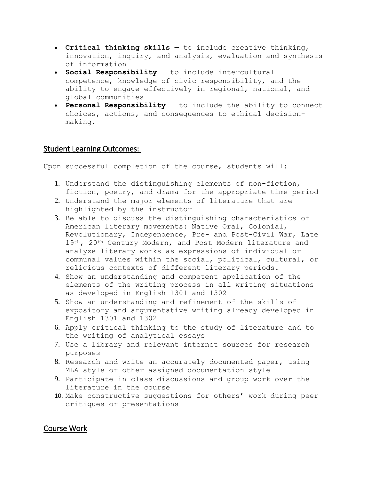- **Critical thinking skills**  to include creative thinking, innovation, inquiry, and analysis, evaluation and synthesis of information
- **Social Responsibility**  to include intercultural competence, knowledge of civic responsibility, and the ability to engage effectively in regional, national, and global communities
- **Personal Responsibility**  to include the ability to connect choices, actions, and consequences to ethical decisionmaking.

# Student Learning Outcomes:

Upon successful completion of the course, students will:

- 1. Understand the distinguishing elements of non-fiction, fiction, poetry, and drama for the appropriate time period
- 2. Understand the major elements of literature that are highlighted by the instructor
- 3. Be able to discuss the distinguishing characteristics of American literary movements: Native Oral, Colonial, Revolutionary, Independence, Pre- and Post-Civil War, Late 19th, 20th Century Modern, and Post Modern literature and analyze literary works as expressions of individual or communal values within the social, political, cultural, or religious contexts of different literary periods.
- 4. Show an understanding and competent application of the elements of the writing process in all writing situations as developed in English 1301 and 1302
- 5. Show an understanding and refinement of the skills of expository and argumentative writing already developed in English 1301 and 1302
- 6. Apply critical thinking to the study of literature and to the writing of analytical essays
- 7. Use a library and relevant internet sources for research purposes
- 8. Research and write an accurately documented paper, using MLA style or other assigned documentation style
- 9. Participate in class discussions and group work over the literature in the course
- 10. Make constructive suggestions for others' work during peer critiques or presentations

# Course Work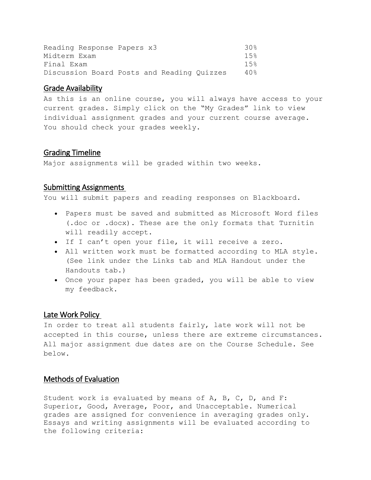| Reading Response Papers x3                 | 30g  |
|--------------------------------------------|------|
| Midterm Exam                               | 1.5% |
| Final Exam                                 | 1.5% |
| Discussion Board Posts and Reading Quizzes | 40%  |

#### Grade Availability

As this is an online course, you will always have access to your current grades. Simply click on the "My Grades" link to view individual assignment grades and your current course average. You should check your grades weekly.

# Grading Timeline

Major assignments will be graded within two weeks.

#### Submitting Assignments

You will submit papers and reading responses on Blackboard.

- Papers must be saved and submitted as Microsoft Word files (.doc or .docx). These are the only formats that Turnitin will readily accept.
- If I can't open your file, it will receive a zero.
- All written work must be formatted according to MLA style. (See link under the Links tab and MLA Handout under the Handouts tab.)
- Once your paper has been graded, you will be able to view my feedback.

#### Late Work Policy

In order to treat all students fairly, late work will not be accepted in this course, unless there are extreme circumstances. All major assignment due dates are on the Course Schedule. See below.

# Methods of Evaluation

Student work is evaluated by means of A, B, C, D, and F: Superior, Good, Average, Poor, and Unacceptable. Numerical grades are assigned for convenience in averaging grades only. Essays and writing assignments will be evaluated according to the following criteria: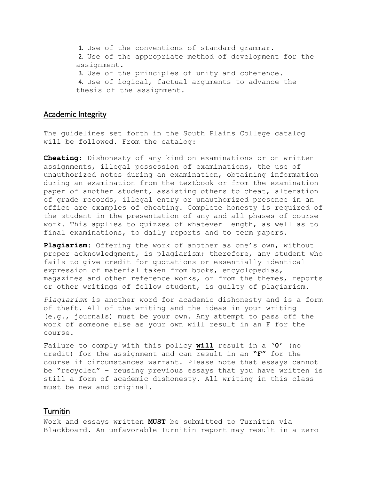1. Use of the conventions of standard grammar. 2. Use of the appropriate method of development for the assignment. 3. Use of the principles of unity and coherence. 4. Use of logical, factual arguments to advance the thesis of the assignment.

## Academic Integrity

The guidelines set forth in the South Plains College catalog will be followed. From the catalog:

**Cheating**: Dishonesty of any kind on examinations or on written assignments, illegal possession of examinations, the use of unauthorized notes during an examination, obtaining information during an examination from the textbook or from the examination paper of another student, assisting others to cheat, alteration of grade records, illegal entry or unauthorized presence in an office are examples of cheating. Complete honesty is required of the student in the presentation of any and all phases of course work. This applies to quizzes of whatever length, as well as to final examinations, to daily reports and to term papers.

**Plagiarism**: Offering the work of another as one's own, without proper acknowledgment, is plagiarism; therefore, any student who fails to give credit for quotations or essentially identical expression of material taken from books, encyclopedias, magazines and other reference works, or from the themes, reports or other writings of fellow student, is guilty of plagiarism.

*Plagiarism* is another word for academic dishonesty and is a form of theft. All of the writing and the ideas in your writing (e.g., journals) must be your own. Any attempt to pass off the work of someone else as your own will result in an F for the course.

Failure to comply with this policy **will** result in a **'0'** (no credit) for the assignment and can result in an **"F"** for the course if circumstances warrant. Please note that essays cannot be "recycled" – reusing previous essays that you have written is still a form of academic dishonesty. All writing in this class must be new and original.

#### Turnitin

Work and essays written **MUST** be submitted to Turnitin via Blackboard. An unfavorable Turnitin report may result in a zero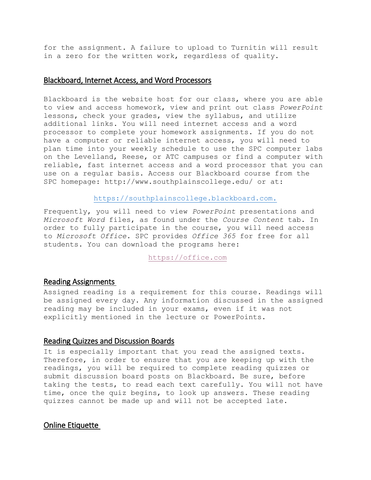for the assignment. A failure to upload to Turnitin will result in a zero for the written work, regardless of quality.

#### Blackboard, Internet Access, and Word Processors

Blackboard is the website host for our class, where you are able to view and access homework, view and print out class *PowerPoint* lessons, check your grades, view the syllabus, and utilize additional links. You will need internet access and a word processor to complete your homework assignments. If you do not have a computer or reliable internet access, you will need to plan time into your weekly schedule to use the SPC computer labs on the Levelland, Reese, or ATC campuses or find a computer with reliable, fast internet access and a word processor that you can use on a regular basis. Access our Blackboard course from the SPC homepage: http://www.southplainscollege.edu/ or at:

[https://southplainscollege.blackboard.com.](https://southplainscollege.blackboard.com/)

Frequently, you will need to view *PowerPoint* presentations and *Microsoft Word* files, as found under the *Course Content* tab. In order to fully participate in the course, you will need access to *Microsoft Office.* SPC provides *Office 365* for free for all students. You can download the programs here:

[https://office.com](https://office.com/)

#### Reading Assignments

Assigned reading is a requirement for this course. Readings will be assigned every day. Any information discussed in the assigned reading may be included in your exams, even if it was not explicitly mentioned in the lecture or PowerPoints.

# Reading Quizzes and Discussion Boards

It is especially important that you read the assigned texts. Therefore, in order to ensure that you are keeping up with the readings, you will be required to complete reading quizzes or submit discussion board posts on Blackboard. Be sure, before taking the tests, to read each text carefully. You will not have time, once the quiz begins, to look up answers. These reading quizzes cannot be made up and will not be accepted late.

Online Etiquette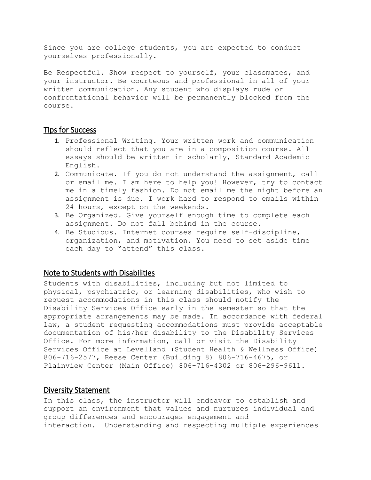Since you are college students, you are expected to conduct yourselves professionally.

Be Respectful. Show respect to yourself, your classmates, and your instructor. Be courteous and professional in all of your written communication. Any student who displays rude or confrontational behavior will be permanently blocked from the course.

#### Tips for Success

- 1. Professional Writing. Your written work and communication should reflect that you are in a composition course. All essays should be written in scholarly, Standard Academic English.
- 2. Communicate. If you do not understand the assignment, call or email me. I am here to help you! However, try to contact me in a timely fashion. Do not email me the night before an assignment is due. I work hard to respond to emails within 24 hours, except on the weekends.
- 3. Be Organized. Give yourself enough time to complete each assignment. Do not fall behind in the course.
- 4. Be Studious. Internet courses require self-discipline, organization, and motivation. You need to set aside time each day to "attend" this class.

#### Note to Students with Disabilities

Students with disabilities, including but not limited to physical, psychiatric, or learning disabilities, who wish to request accommodations in this class should notify the Disability Services Office early in the semester so that the appropriate arrangements may be made. In accordance with federal law, a student requesting accommodations must provide acceptable documentation of his/her disability to the Disability Services Office. For more information, call or visit the Disability Services Office at Levelland (Student Health & Wellness Office) 806-716-2577, Reese Center (Building 8) 806-716-4675, or Plainview Center (Main Office) 806-716-4302 or 806-296-9611.

# Diversity Statement

In this class, the instructor will endeavor to establish and support an environment that values and nurtures individual and group differences and encourages engagement and interaction. Understanding and respecting multiple experiences